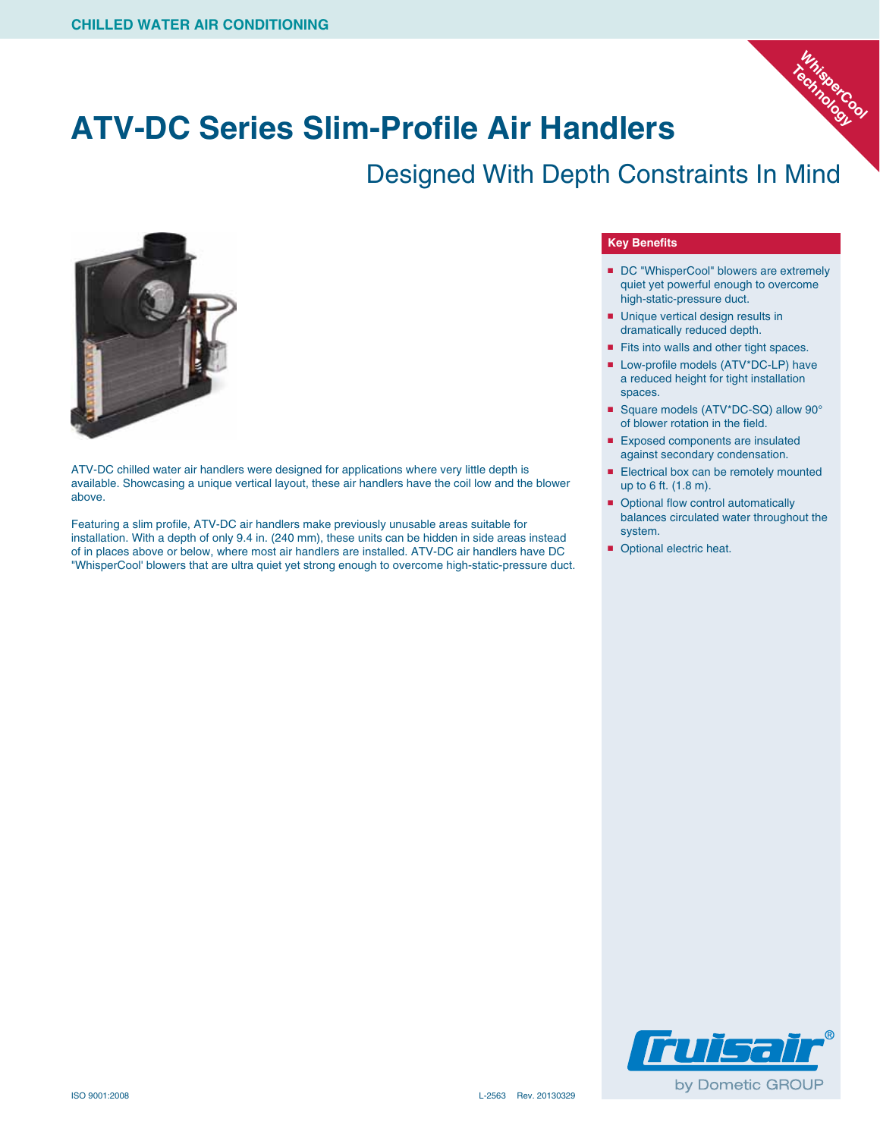

## **ATV-DC Series Slim-Profile Air Handlers**

### Designed With Depth Constraints In Mind



ATV-DC chilled water air handlers were designed for applications where very little depth is available. Showcasing a unique vertical layout, these air handlers have the coil low and the blower above.

Featuring a slim profile, ATV-DC air handlers make previously unusable areas suitable for installation. With a depth of only 9.4 in. (240 mm), these units can be hidden in side areas instead of in places above or below, where most air handlers are installed. ATV-DC air handlers have DC "WhisperCool' blowers that are ultra quiet yet strong enough to overcome high-static-pressure duct.

#### **Key Benefits**

- DC "WhisperCool" blowers are extremely quiet yet powerful enough to overcome high-static-pressure duct.
- Unique vertical design results in dramatically reduced depth.
- Fits into walls and other tight spaces.
- Low-profile models (ATV\*DC-LP) have a reduced height for tight installation spaces.
- Square models (ATV\*DC-SQ) allow 90° of blower rotation in the field.
- Exposed components are insulated against secondary condensation.
- Electrical box can be remotely mounted up to 6 ft. (1.8 m).
- Optional flow control automatically balances circulated water throughout the system.
- Optional electric heat.